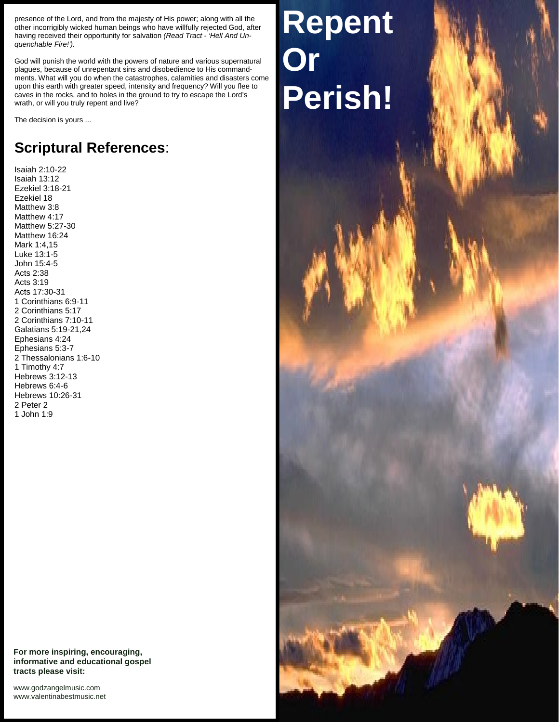presence of the Lord, and from the majesty of His power; along with all the other incorrigibly wicked human beings who have willfully rejected God, after having received their opportunity for salvation *(Read Tract - 'Hell And Un quenchable Fire!').*

God will punish the world with the powers of nature and various supernatural plagues, because of unrepentant sins and disobedience to His commandments. What will you do when the catastrophes, calamities and disasters come upon this earth with greater speed, intensity and frequency? Will you flee to caves in the rocks, and to holes in the ground to try to escape the Lord's wrath, or will you truly repent and live?

The decision is yours ...

## **Scriptural References**:

Isaiah 2:10-22 Isaiah 13:12 Ezekiel 3:18-21 Ezekiel 18 Matthew 3:8 Matthew 4:17 Matthew 5:27-30 Matthew 16:24 Mark 1:4,15 Luke 13:1-5 John 15:4-5 Acts 2:38 Acts 3:19 Acts 17:30-31 1 Corinthians 6:9-11 2 Corinthians 5:17 2 Corinthians 7:10-11 Galatians 5:19-21,24 Ephesians 4:24 Ephesians 5:3-7 2 Thessalonians 1:6-10 1 Timothy 4:7 Hebrews 3:12-13 Hebrews 6:4-6 Hebrews 10:26-31 2 Peter 2 1 John 1:9

**For more inspiring, encouraging, informative and educational gospel tracts please visit:**

<www.godzangelmusic.com> <www.valentinabestmusic.net>

## **Repent Or Perish!**